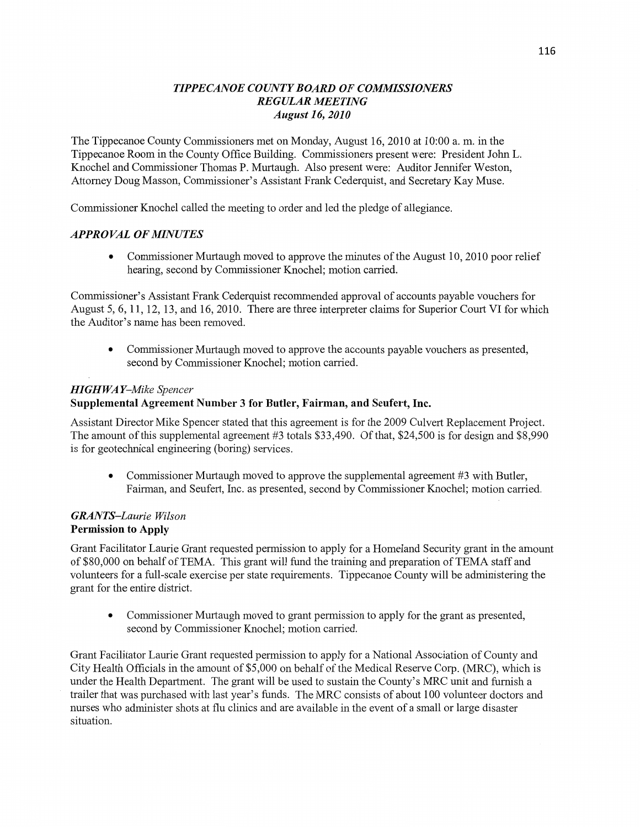## *TIPPE CANOE COWTY BOARD* OF *COMMISSIONERS REGULAR MEETING August* 16, *2010*

The Tippecanoe County Commissioners met on Monday, August 16, 2010 at 10:00 a. m. in the Tippecanoe Room in the County Office Building. Commissioners present were: President John L. Knochel and Commissioner Thomas P. Murtaugh. Also present were: Auditor Jennifer Weston Attorney Doug Masson, Commissioner's **Assistant** Frank Cederquist, and Secretary Kay Muse.

Commissioner Knochel called the meeting to order and led the pledge of allegiance.

## *APPROVAL* OF *MINUTES*

**0** Commissioner Murtaugh moved to approve the minutes of the August 10, 2010 poor relief hearing, second by Commissioner Knochel; motion carried.

Commissioner's Assistant Frank Cederquist recommended approval of accounts payable vouchers for August 5, 6, 11, 12, 13, and 16, 2010. There are three interpreter claims for Superior Court V1 for which the Auditor's name has been removed.

• Commissioner Murtaugh moved to approve the accounts payable vouchers as presented, second by Commissioner Knochel; motion carried.

## *HIGH* WA *Y—A/Iike Spencer*

# **Supplemental** Agreement Number 3 for **Butler, Fairman,** and **Seufert, Inc.**

Assistant Director Mike Spencer stated that this agreement is for the 2009 Culvert Replacement Project. The amount of this supplemental agreement #3 totals \$33,490. Of that, \$24,500 is for design and \$8,990 is for geotechnical engineering (boring) services.

• Commissioner Murtaugh moved to approve the supplemental agreement #3 with Butler, Fairman, and Seufert, Inc. as presented, second by Commissioner Knochel; motion carried.

# *GRANTS—Laurie Wilson*  **Permission** to **Apply**

Grant Facilitator Laurie Grant requested permission to apply for a Homeland Security grant in the amount of \$80,000 on behalf of TEMA. This grant will fund the **training** and preparation of **TEMA** staff and volunteers for a full-scale exercise per state requirements. Tippecanoe County will be administering the grant for the entire district.

**0** Commissioner Murtaugh moved to grant permission to apply for the grant as presented, second by Commissioner Knochel; motion carried.

Grant Facilitator Laurie Grant requested permission to apply for a National Association of County and City Health Officials in the amount of \$5,000 on behalf of the Medical Reserve Corp. (MRC), which is under the Health Depaxtment. The grant will be used to sustain the County's MRC unit and furnish **<sup>a</sup>** trailer that was purchased with last year's funds. The MRC consists of about 100 volunteer doctors and nurses who administer shots at flu clinics and are available in the event of a small or large disaster **situation.**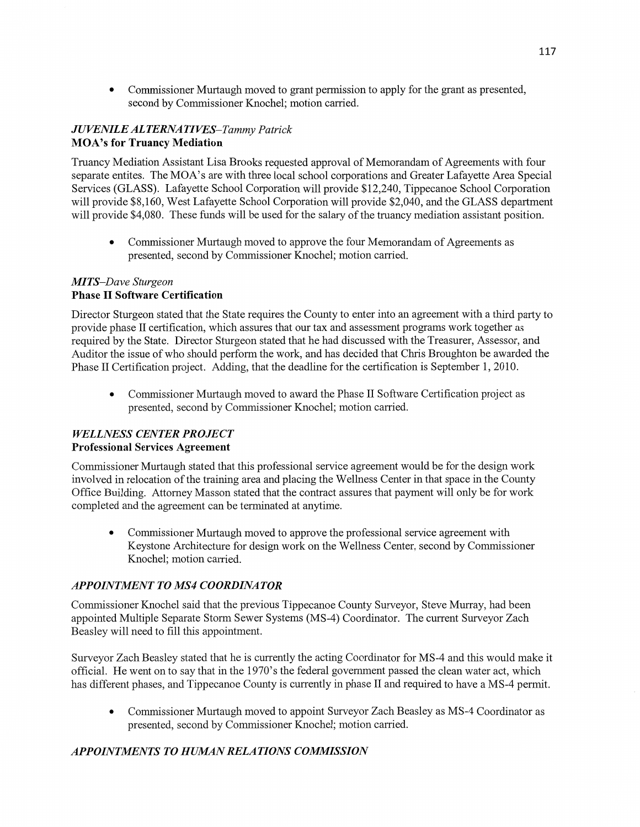**0** Commissioner Murtaugh moved to grant permission to apply for the grant as presented, second by Commissioner Knochel; motion carried.

# .1 *U VENILE* ALT *ERNA* TI *WES—Tammy* Pa *trick*  **MOA's** for **Truancy** Mediation

Truancy Mediation Assistant Lisa Brooks requested approval of Memorandam of Agreements with four separate entites. The MOA's are with three local school corporations and Greater Lafayette Area Special Services (GLASS). Lafayette School Corporation will provide \$12,240, Tippecanoe School Corporation will provide \$8,160, West Lafayette School Corporation will provide \$2,040, and the GLASS department will provide \$4,080. These funds will be used for the salary of the truancy mediation assistant position.

**0** Commissioner Murtaugh moved to approve the four Memorandam of Agreements as presented, second by Commissioner Knochel; motion carried.

## M] *T S—Dave Sturgeon*  **Phase** II Software **Certification**

Director Sturgeon stated that the State requires the County to enter into an agreement with a third party to provide phase II certification, which assures **that** our tax and assessment programs work together as required by the State. Director Sturgeon stated that he had discussed with the Treasurer, Assessor, and Auditor the issue of who should perform the work, and has decided that Chris Broughton be awarded the Phase II Certification project. Adding, that the deadline for the certification is September 1, 2010.

**0** Commissioner Murtaugh moved to award the Phase II Software Certification project as presented, second by Commissioner Knochel; motion carried.

# *WELLNESS CENTER PROJECT*  Professional **Services Agreement**

Commissioner Murtaugh stated that this professional service agreement would be for the design work involved in relocation of the training area and placing the Wellness Center in that space in the County Office Building. Attorney Masson stated that the contract assures that payment will only be for work completed and the agreement can be terminated at anytime.

**-** Commissioner Murtaugh moved to approve the professional service agreement with Keystone Architecture for design work on the Wellness Center, second by Commissioner Knochel; motion carried.

# *APPOINTMENT TO MS4 COORDINATOR*

Commissioner Knochel said that the previous Tippecanoe County Surveyor, Steve Mun'ay, had been appointed Multiple Separate Storm Sewer Systems (MS-4) Coordinator. The current Surveyor Zach Beasley will need to fill this appointment.

Surveyor Zach Beasley stated that he is currently the acting Coordinator for MS-4 and this would make it official. He went on to say that in the 1970's the federal government passed the clean water act, which has different phases, and Tippecanoe County is currently in phase II and required to have a MS-4 permit.

**0** Commissioner Murtaugh moved to appoint Surveyor Zach Beasley as MS-4 Coordinator as presented, second by Commissioner Knochel; motion carried.

# *APPOINTMENTS T 0 H UAIAN RELA T I* ONS *COMMISSION*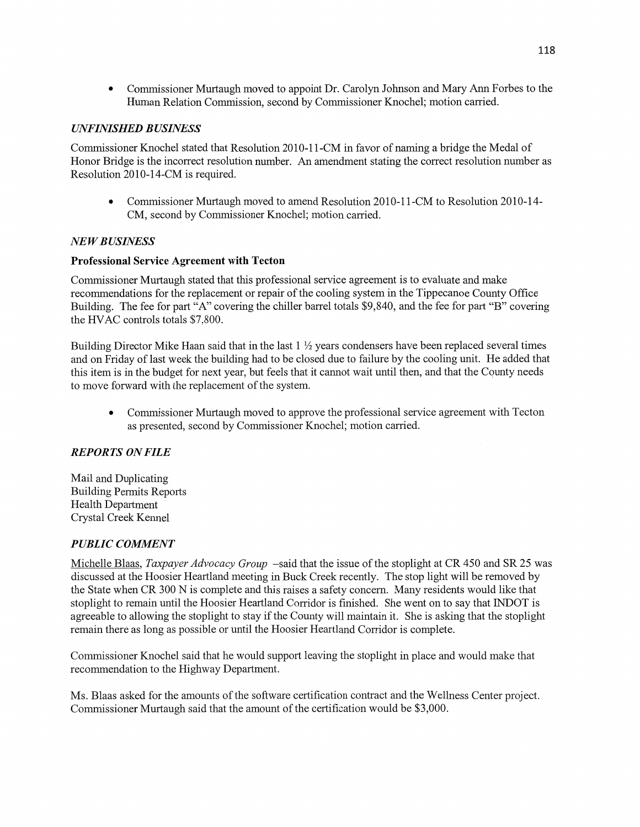**0** Commissioner Murtaugh moved to appoint Dr. Carolyn Johnson and Mary Ann Forbes to the Human Relation Commission, second by Commissioner Knochel; motion carried.

## *UNFINISHED BUSINESS*

Commissioner Knochel stated that Resolution 2010-11-CM in favor of naming a bridge the Medal of Honor Bridge is the incorrect resolution number. An amendment stating the correct resolution number as Resolution 2010-14-CM is required.

• Commissioner Murtaugh moved to amend Resolution 2010-11-CM to Resolution 2010-14-CM, second by Commissioner Knochel; motion carried.

#### NE *WBUSINESS*

#### **Professional Service Agreement** with **Tecton**

Commissioner Murtaugh stated that this professional service agreement is to evaluate and make recommendations for the replacement or repair of the cooling system in the Tippecanoe County Office Building. The fee for part "A" covering the chiller barrel totals \$9,840, and the fee for part "B" covering the HVAC controls totals \$7,800.

Building Director Mike Haan said that in the last  $1 \frac{1}{2}$  years condensers have been replaced several times and on Friday of last week the building had to be closed due to failure by the cooling unit. He added that this item is in the budget for next year, but feels that it cannot wait until then, and that the County needs to move forward with the replacement of the system.

• Commissioner Murtaugh moved to approve the professional service agreement with Tecton as presented, second by Commissioner Knochel; motion carried.

## *REPORTS* ON *FILE*

Mail and Duplicating Building Permits Reports Health Department *'*  Crystal Creek Kennel

## *PUBLIC COMMENT*

Michelle Blaas, *Taxpayer Advocacy Group* —said that the issue of the stoplight at CR 450 and SR 25 was discussed at the Hoosier Heartland meeting in Buck Creek recently. The stop light will be removed by the State when CR 300 N is complete and this raises a safety concern. Many residents would like that stoplight to remain until the Hoosier Heartland Corridor is finished. She went on to say that INDOT is agreeable to allowing the stoplight to stay if the County will maintain it. She is asking that the stoplight remain there as long as possible or until the Hoosier Heartland Corridor is complete.

Commissioner Knochel said that he would support leaving the stoplight in place and would make that recommendation to the Highway Department.

Ms. Blaas asked for the amounts of the software certification contract and the Wellness Center project. Commissioner Murtaugh said that the amount of the certification would be \$3,000.